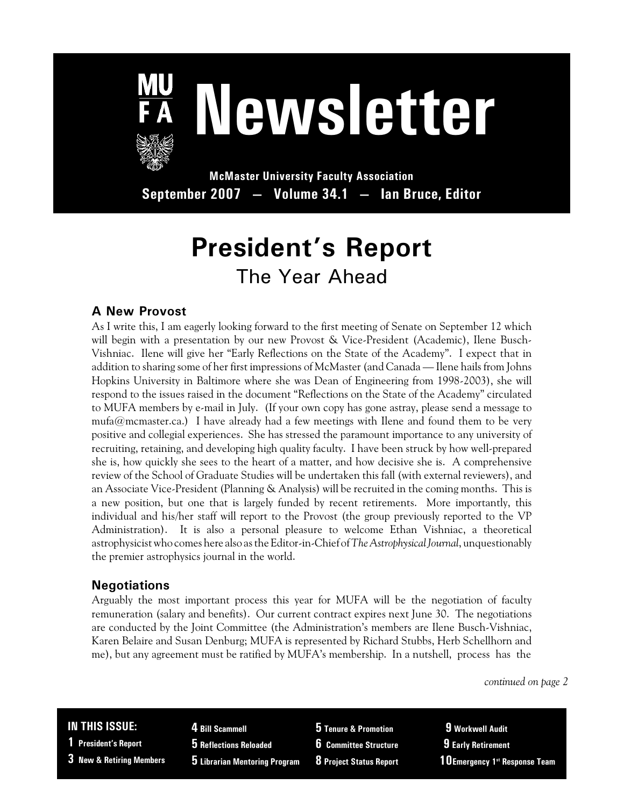

# **Newsletter**

**McMaster University Faculty Association September 2007 — Volume 34.1 — Ian Bruce, Editor**

# **President's Report** The Year Ahead

### **A New Provost**

As I write this, I am eagerly looking forward to the first meeting of Senate on September 12 which will begin with a presentation by our new Provost & Vice-President (Academic), Ilene Busch-Vishniac. Ilene will give her "Early Reflections on the State of the Academy". I expect that in addition to sharing some of her first impressions of McMaster (and Canada — Ilene hails from Johns Hopkins University in Baltimore where she was Dean of Engineering from 1998-2003), she will respond to the issues raised in the document "Reflections on the State of the Academy" circulated to MUFA members by e-mail in July. (If your own copy has gone astray, please send a message to mufa@mcmaster.ca.) I have already had a few meetings with Ilene and found them to be very positive and collegial experiences. She has stressed the paramount importance to any university of recruiting, retaining, and developing high quality faculty. I have been struck by how well-prepared she is, how quickly she sees to the heart of a matter, and how decisive she is. A comprehensive review of the School of Graduate Studies will be undertaken this fall (with external reviewers), and an Associate Vice-President (Planning & Analysis) will be recruited in the coming months. This is a new position, but one that is largely funded by recent retirements. More importantly, this individual and his/her staff will report to the Provost (the group previously reported to the VP Administration). It is also a personal pleasure to welcome Ethan Vishniac, a theoretical astrophysicist who comes here also as the Editor-in-Chief of*The Astrophysical Journal*, unquestionably the premier astrophysics journal in the world.

### **Negotiations**

Arguably the most important process this year for MUFA will be the negotiation of faculty remuneration (salary and benefits). Our current contract expires next June 30. The negotiations are conducted by the Joint Committee (the Administration's members are Ilene Busch-Vishniac, Karen Belaire and Susan Denburg; MUFA is represented by Richard Stubbs, Herb Schellhorn and me), but any agreement must be ratified by MUFA's membership. In a nutshell, process has the

*continued on page 2*

#### **IN THIS ISSUE:**

- **1 President's Report**
- **3 New & Retiring Members**
- **4 Bill Scammell**
- **5 Reflections Reloaded**
- **5 Librarian Mentoring Program**
- **5 Tenure & Promotion**
- **6 Committee Structure 8 Project Status Report**
- **9 Early Retirement**

 **9 Workwell Audit**

**10Emergency 1st Response Team**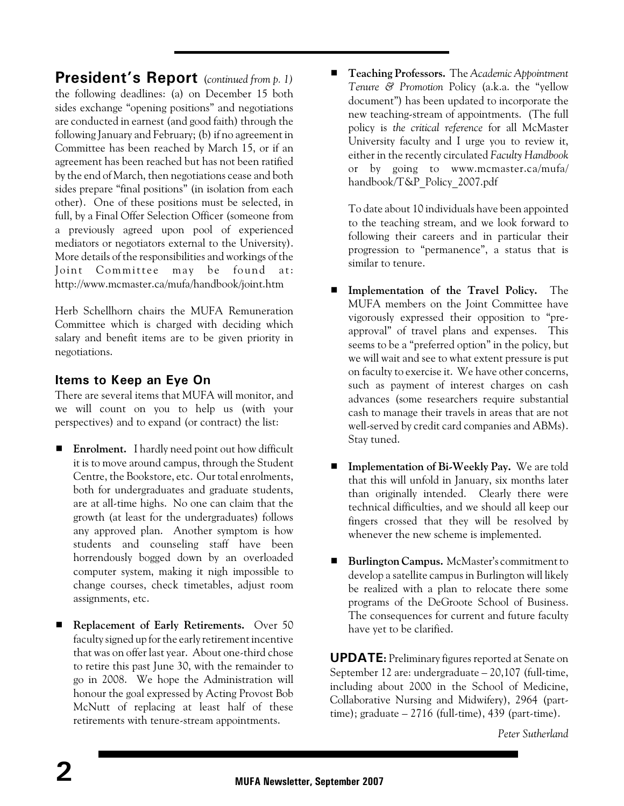**President's Report** (*continued from p. 1)* the following deadlines: (a) on December 15 both sides exchange "opening positions" and negotiations are conducted in earnest (and good faith) through the following January and February; (b) if no agreement in Committee has been reached by March 15, or if an agreement has been reached but has not been ratified by the end of March, then negotiations cease and both sides prepare "final positions" (in isolation from each other). One of these positions must be selected, in full, by a Final Offer Selection Officer (someone from a previously agreed upon pool of experienced mediators or negotiators external to the University). More details of the responsibilities and workings of the Joint Committee may be found at: http://www.mcmaster.ca/mufa/handbook/joint.htm

Herb Schellhorn chairs the MUFA Remuneration Committee which is charged with deciding which salary and benefit items are to be given priority in negotiations.

### **Items to Keep an Eye On**

There are several items that MUFA will monitor, and we will count on you to help us (with your perspectives) and to expand (or contract) the list:

- **Enrolment.** I hardly need point out how difficult it is to move around campus, through the Student Centre, the Bookstore, etc. Our total enrolments, both for undergraduates and graduate students, are at all-time highs. No one can claim that the growth (at least for the undergraduates) follows any approved plan. Another symptom is how students and counseling staff have been horrendously bogged down by an overloaded computer system, making it nigh impossible to change courses, check timetables, adjust room assignments, etc.
- **Replacement of Early Retirements.** Over 50 faculty signed up for the early retirement incentive that was on offer last year. About one-third chose to retire this past June 30, with the remainder to go in 2008. We hope the Administration will honour the goal expressed by Acting Provost Bob McNutt of replacing at least half of these retirements with tenure-stream appointments.

# **Teaching Professors.** The *Academic Appointment Tenure & Promotion* Policy (a.k.a. the "yellow document") has been updated to incorporate the new teaching-stream of appointments. (The full policy is *the critical reference* for all McMaster University faculty and I urge you to review it, either in the recently circulated *Faculty Handbook* or by going to www.mcmaster.ca/mufa/ handbook/T&P\_Policy\_2007.pdf

To date about 10 individuals have been appointed to the teaching stream, and we look forward to following their careers and in particular their progression to "permanence", a status that is similar to tenure.

- $\blacksquare$  Implementation of the Travel Policy. The MUFA members on the Joint Committee have vigorously expressed their opposition to "preapproval" of travel plans and expenses. This seems to be a "preferred option" in the policy, but we will wait and see to what extent pressure is put on faculty to exercise it. We have other concerns, such as payment of interest charges on cash advances (some researchers require substantial cash to manage their travels in areas that are not well-served by credit card companies and ABMs). Stay tuned.
- **E** Implementation of Bi-Weekly Pay. We are told that this will unfold in January, six months later than originally intended. Clearly there were technical difficulties, and we should all keep our fingers crossed that they will be resolved by whenever the new scheme is implemented.
- **Burlington Campus.** McMaster's commitment to develop a satellite campus in Burlington will likely be realized with a plan to relocate there some programs of the DeGroote School of Business. The consequences for current and future faculty have yet to be clarified.

**UPDATE:** Preliminary figures reported at Senate on September 12 are: undergraduate – 20,107 (full-time, including about 2000 in the School of Medicine, Collaborative Nursing and Midwifery), 2964 (parttime); graduate  $-2716$  (full-time), 439 (part-time).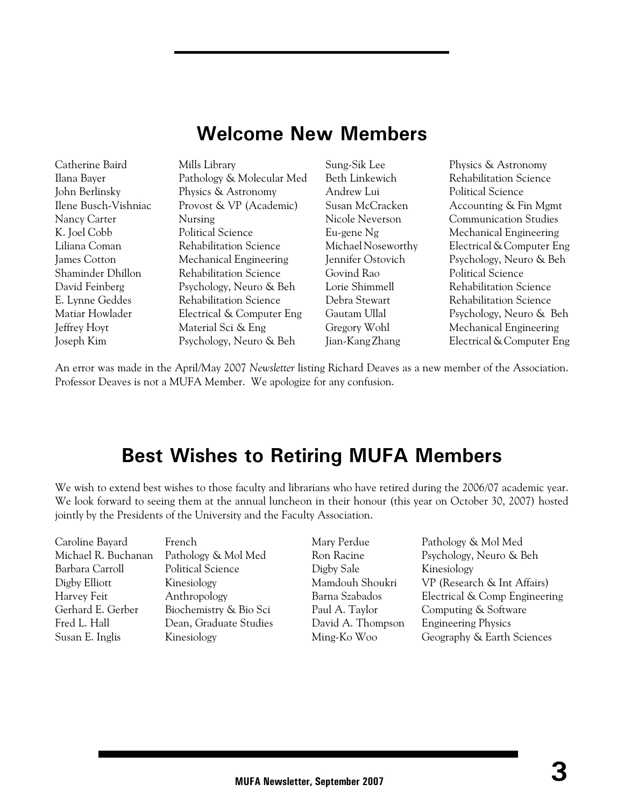# **Welcome New Members**

| Catherine Baird      | Mills Library                 | Sung-Sik Lee       | Physics & Astronomy           |
|----------------------|-------------------------------|--------------------|-------------------------------|
| Ilana Bayer          | Pathology & Molecular Med     | Beth Linkewich     | Rehabilitation Science        |
| John Berlinsky       | Physics & Astronomy           | Andrew Lui         | <b>Political Science</b>      |
| Ilene Busch-Vishniac | Provost & VP (Academic)       | Susan McCracken    | Accounting & Fin Mgmt         |
| Nancy Carter         | <b>Nursing</b>                | Nicole Neverson    | <b>Communication Studies</b>  |
| K. Joel Cobb         | <b>Political Science</b>      | Eu-gene Ng         | Mechanical Engineering        |
| Liliana Coman        | <b>Rehabilitation Science</b> | Michael Noseworthy | Electrical & Computer Eng     |
| James Cotton         | Mechanical Engineering        | Jennifer Ostovich  | Psychology, Neuro & Beh       |
| Shaminder Dhillon    | <b>Rehabilitation Science</b> | Govind Rao         | <b>Political Science</b>      |
| David Feinberg       | Psychology, Neuro & Beh       | Lorie Shimmell     | <b>Rehabilitation Science</b> |
| E. Lynne Geddes      | Rehabilitation Science        | Debra Stewart      | <b>Rehabilitation Science</b> |
| Matiar Howlader      | Electrical & Computer Eng     | Gautam Ullal       | Psychology, Neuro & Beh       |
| Jeffrey Hoyt         | Material Sci & Eng            | Gregory Wohl       | Mechanical Engineering        |
| Joseph Kim           | Psychology, Neuro & Beh       | Jian-Kang Zhang    | Electrical & Computer Eng     |

An error was made in the April/May 2007 *Newsletter* listing Richard Deaves as a new member of the Association. Professor Deaves is not a MUFA Member. We apologize for any confusion.

### **Best Wishes to Retiring MUFA Members**

We wish to extend best wishes to those faculty and librarians who have retired during the 2006/07 academic year. We look forward to seeing them at the annual luncheon in their honour (this year on October 30, 2007) hosted jointly by the Presidents of the University and the Faculty Association.

| Caroline Bayard     | French                   | Mary Perdue       | Pathology & Mol Med           |
|---------------------|--------------------------|-------------------|-------------------------------|
| Michael R. Buchanan | Pathology & Mol Med      | Ron Racine        | Psychology, Neuro & Beh       |
| Barbara Carroll     | <b>Political Science</b> | Digby Sale        | Kinesiology                   |
| Digby Elliott       | Kinesiology              | Mamdouh Shoukri   | VP (Research & Int Affairs)   |
| Harvey Feit         | Anthropology             | Barna Szabados    | Electrical & Comp Engineering |
| Gerhard E. Gerber   | Biochemistry & Bio Sci   | Paul A. Taylor    | Computing & Software          |
| Fred L. Hall        | Dean, Graduate Studies   | David A. Thompson | <b>Engineering Physics</b>    |
| Susan E. Inglis     | Kinesiology              | Ming-Ko Woo       | Geography & Earth Sciences    |
|                     |                          |                   |                               |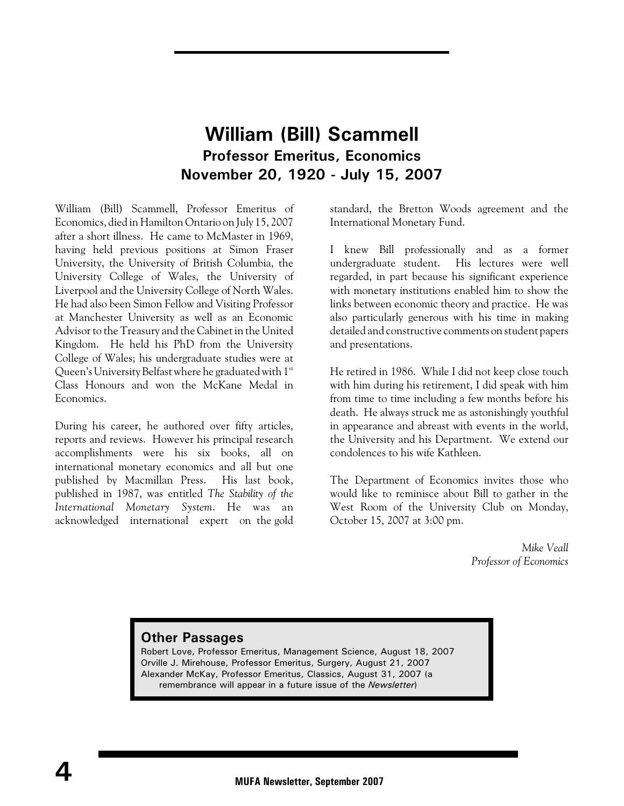### **William (Bill) Scammell Professor Emeritus, Economics November 20, 1920 - July 15, 2007**

William (Bill) Scammell, Professor Emeritus of Economics, died in Hamilton Ontario on July 15, 2007 after a short illness. He came to McMaster in 1969, having held previous positions at Simon Fraser University, the University of British Columbia, the University College of Wales, the University of Liverpool and the University College of North Wales. He had also been Simon Fellow and Visiting Professor at Manchester University as well as an Economic Advisor to the Treasury and the Cabinet in the United Kingdom. He held his PhD from the University College of Wales; his undergraduate studies were at Queen's University Belfast where he graduated with  $1<sup>st</sup>$ Class Honours and won the McKane Medal in Economics.

During his career, he authored over fifty articles, reports and reviews. However his principal research accomplishments were his six books, all on international monetary economics and all but one published by Macmillan Press. His last book, published in 1987, was entitled *The Stability of the International Monetary System*. He was an acknowledged international expert on the gold standard, the Bretton Woods agreement and the International Monetary Fund.

I knew Bill professionally and as a former undergraduate student. His lectures were well regarded, in part because his significant experience with monetary institutions enabled him to show the links between economic theory and practice. He was also particularly generous with his time in making detailed and constructive comments on student papers and presentations.

He retired in 1986. While I did not keep close touch with him during his retirement, I did speak with him from time to time including a few months before his death. He always struck me as astonishingly youthful in appearance and abreast with events in the world, the University and his Department. We extend our condolences to his wife Kathleen.

The Department of Economics invites those who would like to reminisce about Bill to gather in the West Room of the University Club on Monday, October 15, 2007 at 3:00 pm.

> *Mike Veall Professor of Economics*

#### **Other Passages**

Robert Love, Professor Emeritus, Management Science, August 18, 2007 Orville J. Mirehouse, Professor Emeritus, Surgery, August 21, 2007 Alexander McKay, Professor Emeritus, Classics, August 31, 2007 (a remembrance will appear in a future issue of the *Newsletter*)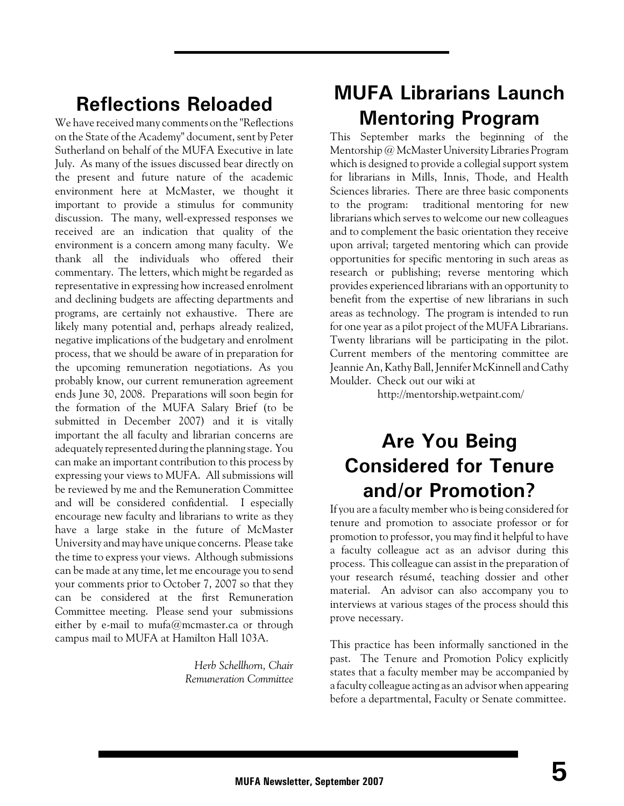# **Reflections Reloaded**

We have received many comments on the "Reflections on the State of the Academy" document, sent by Peter Sutherland on behalf of the MUFA Executive in late July. As many of the issues discussed bear directly on the present and future nature of the academic environment here at McMaster, we thought it important to provide a stimulus for community discussion. The many, well-expressed responses we received are an indication that quality of the environment is a concern among many faculty. We thank all the individuals who offered their commentary. The letters, which might be regarded as representative in expressing how increased enrolment and declining budgets are affecting departments and programs, are certainly not exhaustive. There are likely many potential and, perhaps already realized, negative implications of the budgetary and enrolment process, that we should be aware of in preparation for the upcoming remuneration negotiations. As you probably know, our current remuneration agreement ends June 30, 2008. Preparations will soon begin for the formation of the MUFA Salary Brief (to be submitted in December 2007) and it is vitally important the all faculty and librarian concerns are adequately represented during the planning stage. You can make an important contribution to this process by expressing your views to MUFA. All submissions will be reviewed by me and the Remuneration Committee and will be considered confidential. I especially encourage new faculty and librarians to write as they have a large stake in the future of McMaster University and may have unique concerns. Please take the time to express your views. Although submissions can be made at any time, let me encourage you to send your comments prior to October 7, 2007 so that they can be considered at the first Remuneration Committee meeting. Please send your submissions either by e-mail to mufa@mcmaster.ca or through campus mail to MUFA at Hamilton Hall 103A.

> *Herb Schellhorn, Chair Remuneration Committee*

# **MUFA Librarians Launch Mentoring Program**

This September marks the beginning of the Mentorship @ McMaster University Libraries Program which is designed to provide a collegial support system for librarians in Mills, Innis, Thode, and Health Sciences libraries. There are three basic components to the program: traditional mentoring for new librarians which serves to welcome our new colleagues and to complement the basic orientation they receive upon arrival; targeted mentoring which can provide opportunities for specific mentoring in such areas as research or publishing; reverse mentoring which provides experienced librarians with an opportunity to benefit from the expertise of new librarians in such areas as technology. The program is intended to run for one year as a pilot project of the MUFA Librarians. Twenty librarians will be participating in the pilot. Current members of the mentoring committee are Jeannie An, Kathy Ball, Jennifer McKinnell and Cathy Moulder. Check out our wiki at

http://mentorship.wetpaint.com/

# **Are You Being Considered for Tenure and/or Promotion?**

If you are a faculty member who is being considered for tenure and promotion to associate professor or for promotion to professor, you may find it helpful to have a faculty colleague act as an advisor during this process. This colleague can assist in the preparation of your research résumé, teaching dossier and other material. An advisor can also accompany you to interviews at various stages of the process should this prove necessary.

This practice has been informally sanctioned in the past. The Tenure and Promotion Policy explicitly states that a faculty member may be accompanied by a faculty colleague acting as an advisor when appearing before a departmental, Faculty or Senate committee.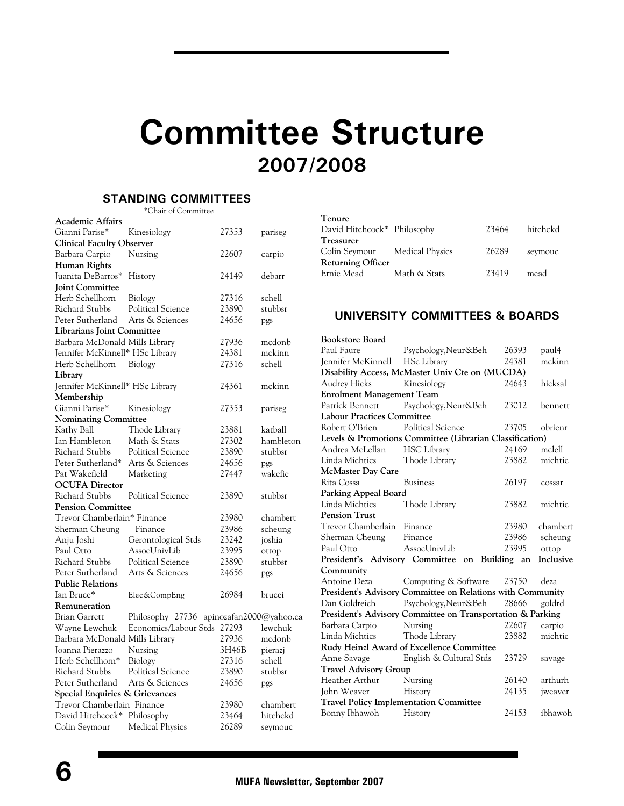# **Committee Structure 2007/2008**

### **STANDING COMMITTEES**

\*Chair of Committee

| <b>Academic Affairs</b>           |                                          |       |           |
|-----------------------------------|------------------------------------------|-------|-----------|
| Gianni Parise*                    | Kinesiology                              | 27353 | pariseg   |
| <b>Clinical Faculty Observer</b>  |                                          |       |           |
| Barbara Carpio                    | Nursing                                  | 22607 | carpio    |
| Human Rights                      |                                          |       |           |
| Juanita DeBarros*                 | History                                  | 24149 | debarr    |
| <b>Joint Committee</b>            |                                          |       |           |
| Herb Schellhorn                   | Biology                                  | 27316 | schell    |
| <b>Richard Stubbs</b>             | <b>Political Science</b>                 | 23890 | stubbsr   |
| Peter Sutherland                  | Arts & Sciences                          | 24656 | pgs       |
| <b>Librarians Joint Committee</b> |                                          |       |           |
| Barbara McDonald Mills Library    |                                          | 27936 | mcdonb    |
| Jennifer McKinnell* HSc Library   |                                          | 24381 | mckinn    |
| Herb Schellhorn                   | Biology                                  | 27316 | schell    |
| Library                           |                                          |       |           |
| Jennifer McKinnell* HSc Library   |                                          | 24361 | mckinn    |
| Membership                        |                                          |       |           |
| Gianni Parise*                    | Kinesiology                              | 27353 | pariseg   |
| <b>Nominating Committee</b>       |                                          |       |           |
| Kathy Ball                        | Thode Library                            | 23881 | katball   |
| Ian Hambleton                     | Math & Stats                             | 27302 | hambleton |
| <b>Richard Stubbs</b>             | <b>Political Science</b>                 | 23890 | stubbsr   |
| Peter Sutherland*                 | Arts & Sciences                          | 24656 | pgs       |
| Pat Wakefield                     | Marketing                                | 27447 | wakefie   |
| <b>OCUFA Director</b>             |                                          |       |           |
| <b>Richard Stubbs</b>             | <b>Political Science</b>                 | 23890 | stubbsr   |
| <b>Pension Committee</b>          |                                          |       |           |
| Trevor Chamberlain* Finance       |                                          | 23980 | chambert  |
| Sherman Cheung                    | Finance                                  | 23986 | scheung   |
| Anju Joshi                        | Gerontological Stds                      | 23242 | joshia    |
| Paul Otto                         | AssocUnivLib                             | 23995 | ottop     |
| <b>Richard Stubbs</b>             | <b>Political Science</b>                 | 23890 | stubbsr   |
| Peter Sutherland                  | Arts & Sciences                          | 24656 | pgs       |
| <b>Public Relations</b>           |                                          |       |           |
| Ian Bruce*                        | Elec&CompEng                             | 26984 | brucei    |
| Remuneration                      |                                          |       |           |
| <b>Brian Garrett</b>              | Philosophy 27736 apinozafan2000@yahoo.ca |       |           |
| Wayne Lewchuk                     | Economics/Labour Stds 27293              |       | lewchuk   |
| Barbara McDonald Mills Library    |                                          | 27936 | mcdonb    |
| Joanna Pierazzo                   | Nursing                                  | 3H46B | pierazj   |
| Herb Schellhorn*                  | Biology                                  | 27316 | schell    |
| <b>Richard Stubbs</b>             | <b>Political Science</b>                 | 23890 | stubbsr   |
| Peter Sutherland                  | Arts & Sciences                          | 24656 | pgs       |
| Special Enquiries & Grievances    |                                          |       |           |
| Trevor Chamberlain Finance        |                                          | 23980 | chambert  |
| David Hitchcock*                  | Philosophy                               | 23464 | hitchckd  |
| Colin Seymour                     | <b>Medical Physics</b>                   | 26289 | seymouc   |

| Tenure                        |              |       |          |
|-------------------------------|--------------|-------|----------|
| David Hitchcock* Philosophy   |              | 23464 | hitchckd |
| <b>Treasurer</b>              |              |       |          |
| Colin Seymour Medical Physics |              | 26289 | seymouc  |
| <b>Returning Officer</b>      |              |       |          |
| Ernie Mead                    | Math & Stats | 23419 | mead     |
|                               |              |       |          |

### **UNIVERSITY COMMITTEES & BOARDS**

| <b>Bookstore Board</b>            |                                                            |       |           |  |
|-----------------------------------|------------------------------------------------------------|-------|-----------|--|
| Paul Faure                        | Psychology, Neur&Beh                                       | 26393 | paul4     |  |
| Jennifer McKinnell HSc Library    |                                                            | 24381 | mckinn    |  |
|                                   | Disability Access, McMaster Univ Cte on (MUCDA)            |       |           |  |
| Audrey Hicks                      | Kinesiology                                                |       |           |  |
| <b>Enrolment Management Team</b>  |                                                            |       |           |  |
| Patrick Bennett                   | Psychology, Neur&Beh                                       | 23012 | bennett   |  |
| <b>Labour Practices Committee</b> |                                                            |       |           |  |
| Robert O'Brien                    | Political Science                                          | 23705 | obrienr   |  |
|                                   | Levels & Promotions Committee (Librarian Classification)   |       |           |  |
| Andrea McLellan                   | <b>HSC Library</b>                                         | 24169 | mclell    |  |
| Linda Michtics Thode Library      |                                                            | 23882 | michtic   |  |
| McMaster Day Care                 |                                                            |       |           |  |
| Rita Cossa                        | <b>Business</b>                                            | 26197 | cossar    |  |
| Parking Appeal Board              |                                                            |       |           |  |
| Linda Michtics                    | Thode Library                                              | 23882 | michtic   |  |
| <b>Pension Trust</b>              |                                                            |       |           |  |
| Trevor Chamberlain Finance        |                                                            | 23980 | chambert  |  |
| Sherman Cheung Finance            |                                                            | 23986 | scheung   |  |
| Paul Otto                         | AssocUnivLib                                               | 23995 | ottop     |  |
| President's Advisory Committee    | on Building an                                             |       | Inclusive |  |
| Community                         |                                                            |       |           |  |
| Antoine Deza                      | Computing & Software                                       | 23750 | deza      |  |
|                                   | President's Advisory Committee on Relations with Community |       |           |  |
| Dan Goldreich                     | Psychology, Neur&Beh                                       | 28666 | goldrd    |  |
|                                   | President's Advisory Committee on Transportation & Parking |       |           |  |
| Barbara Carpio                    | Nursing                                                    | 22607 | carpio    |  |
| Linda Michtics                    | Thode Library                                              | 23882 | michtic   |  |
|                                   | Rudy Heinzl Award of Excellence Committee                  |       |           |  |
| Anne Savage                       | English & Cultural Stds                                    | 23729 | savage    |  |
| <b>Travel Advisory Group</b>      |                                                            |       |           |  |
| Heather Arthur                    | Nursing                                                    | 26140 | arthurh   |  |
| John Weaver                       | History                                                    | 24135 | jweaver   |  |
|                                   | <b>Travel Policy Implementation Committee</b>              |       |           |  |
| Bonny Ibhawoh History             |                                                            | 24153 | ibhawoh   |  |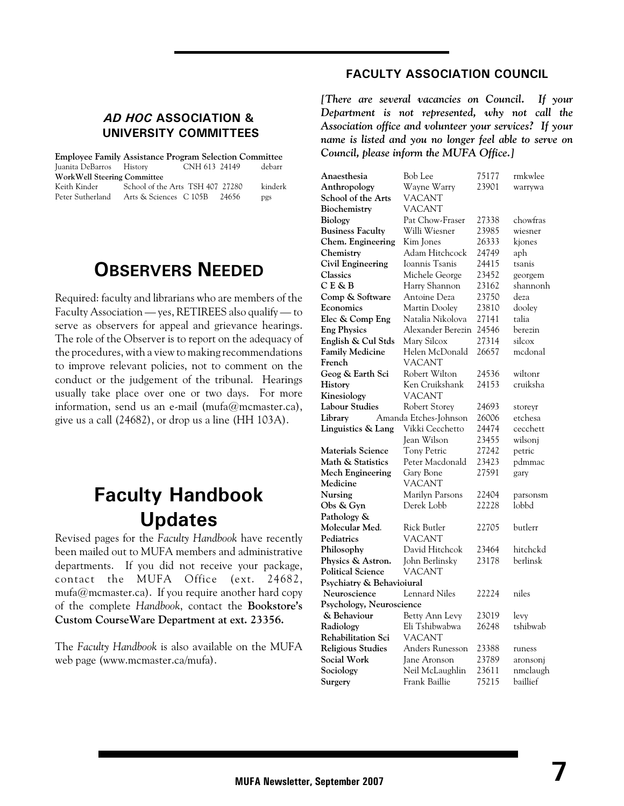### *AD HOC* **ASSOCIATION & UNIVERSITY COMMITTEES**

|                                    | <b>Employee Family Assistance Program Selection Committee</b> |         |
|------------------------------------|---------------------------------------------------------------|---------|
| Juanita DeBarros History           | CNH 613 24149                                                 | debarr  |
| <b>WorkWell Steering Committee</b> |                                                               |         |
| Keith Kinder                       | School of the Arts TSH 407 27280                              | kinderk |
| Peter Sutherland                   | Arts & Sciences C 105B<br>-24656                              | pgs     |

### **OBSERVERS NEEDED**

Required: faculty and librarians who are members of the Faculty Association — yes, RETIREES also qualify — to serve as observers for appeal and grievance hearings. The role of the Observer is to report on the adequacy of the procedures, with a view to making recommendations to improve relevant policies, not to comment on the conduct or the judgement of the tribunal. Hearings usually take place over one or two days. For more information, send us an e-mail (mufa@mcmaster.ca), give us a call (24682), or drop us a line (HH 103A).

# **Faculty Handbook Updates**

Revised pages for the *Faculty Handbook* have recently been mailed out to MUFA members and administrative departments. If you did not receive your package, contact the MUFA Office (ext. 24682, mufa@mcmaster.ca). If you require another hard copy of the complete *Handbook*, contact the **Bookstore's Custom CourseWare Department at ext. 23356.**

The *Faculty Handbook* is also available on the MUFA web page (www.mcmaster.ca/mufa).

### **FACULTY ASSOCIATION COUNCIL**

*[There are several vacancies on Council. If your Department is not represented, why not call the Association office and volunteer your services? If your name is listed and you no longer feel able to serve on Council, please inform the MUFA Office.]*

| Anaesthesia               | Bob Lee               | 75177 | rmkwlee  |
|---------------------------|-----------------------|-------|----------|
| Anthropology              | Wayne Warry           | 23901 | warrywa  |
| School of the Arts        | VACANT                |       |          |
| Biochemistry              | VACANT                |       |          |
| Biology                   | Pat Chow-Fraser       | 27338 | chowfras |
| <b>Business Faculty</b>   | Willi Wiesner         | 23985 | wiesner  |
| Chem. Engineering         | Kim Jones             | 26333 | kjones   |
| Chemistry                 | Adam Hitchcock        | 24749 | aph      |
| <b>Civil Engineering</b>  | Ioannis Tsanis        | 24415 | tsanis   |
| Classics                  | Michele George        | 23452 | georgem  |
| CE&B                      | Harry Shannon         | 23162 | shannonh |
| Comp & Software           | Antoine Deza          | 23750 | deza     |
| Economics                 | Martin Dooley         | 23810 | dooley   |
| Elec & Comp Eng           | Natalia Nikolova      | 27141 | talia    |
| <b>Eng Physics</b>        | Alexander Berezin     | 24546 | berezin  |
| English & Cul Stds        | Mary Silcox           | 27314 | silcox   |
| <b>Family Medicine</b>    | Helen McDonald        | 26657 | medonal  |
| French                    | VACANT                |       |          |
| Geog & Earth Sci          | Robert Wilton         | 24536 | wiltonr  |
| History                   | Ken Cruikshank        | 24153 | cruiksha |
| Kinesiology               | <b>VACANT</b>         |       |          |
| Labour Studies            | Robert Storey         | 24693 | storeyr  |
| Library                   | Amanda Etches-Johnson | 26006 | etchesa  |
| Linguistics & Lang        | Vikki Cecchetto       | 24474 | cecchett |
|                           | Jean Wilson           | 23455 | wilsonj  |
| Materials Science         | Tony Petric           | 27242 | petric   |
| Math & Statistics         | Peter Macdonald       | 23423 | pdmmac   |
| Mech Engineering          | Gary Bone             | 27591 | gary     |
| Medicine                  | VACANT                |       |          |
| Nursing                   | Marilyn Parsons       | 22404 | parsonsm |
| Obs & Gyn                 | Derek Lobb            | 22228 | lobbd    |
| Pathology &               |                       |       |          |
| Molecular Med.            | Rick Butler           | 22705 | butlerr  |
| Pediatrics                | <b>VACANT</b>         |       |          |
| Philosophy                | David Hitchcok        | 23464 | hitchckd |
| Physics & Astron.         | John Berlinsky        | 23178 | berlinsk |
| <b>Political Science</b>  | VACANT                |       |          |
| Psychiatry & Behavioiural |                       |       |          |
| Neuroscience              | <b>Lennard Niles</b>  | 22224 | niles    |
| Psychology, Neuroscience  |                       |       |          |
| & Behaviour               | Betty Ann Levy        | 23019 | levy     |
| Radiology                 | Eli Tshibwabwa        | 26248 | tshibwab |
| Rehabilitation Sci        | <b>VACANT</b>         |       |          |
| <b>Religious Studies</b>  | Anders Runesson       | 23388 | runess   |
| Social Work               | Jane Aronson          | 23789 | aronsonj |
| Sociology                 | Neil McLaughlin       | 23611 | nmclaugh |
| Surgery                   | Frank Baillie         | 75215 | baillief |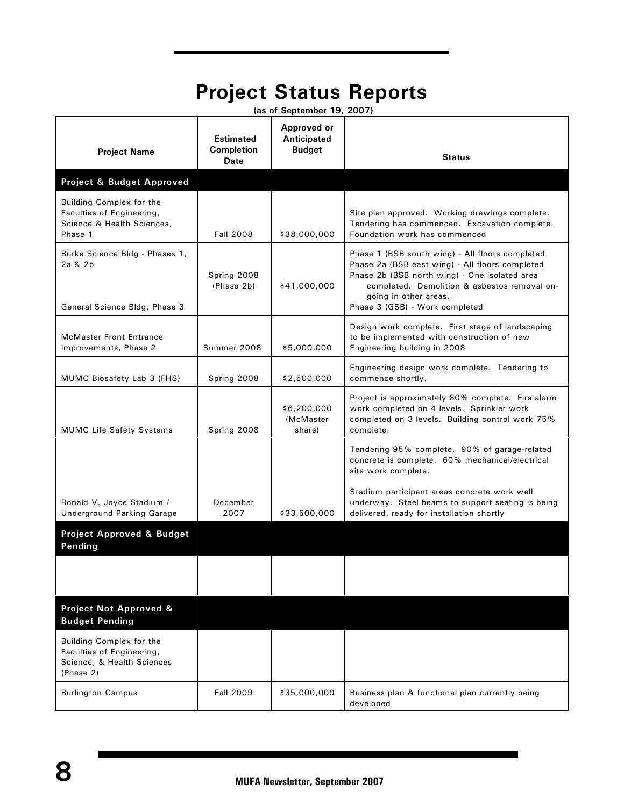# **Project Status Reports**

| (as of September 19, 2007)                                                                       |                                               |                                                    |                                                                                                                                                                                                                                                                |  |
|--------------------------------------------------------------------------------------------------|-----------------------------------------------|----------------------------------------------------|----------------------------------------------------------------------------------------------------------------------------------------------------------------------------------------------------------------------------------------------------------------|--|
| <b>Project Name</b>                                                                              | <b>Estimated</b><br><b>Completion</b><br>Date | Approved or<br><b>Anticipated</b><br><b>Budget</b> | <b>Status</b>                                                                                                                                                                                                                                                  |  |
| Project & Budget Approved                                                                        |                                               |                                                    |                                                                                                                                                                                                                                                                |  |
| Building Complex for the<br>Faculties of Engineering,<br>Science & Health Sciences,<br>Phase 1   | <b>Fall 2008</b>                              | \$38,000,000                                       | Site plan approved. Working drawings complete.<br>Tendering has commenced. Excavation complete.<br>Foundation work has commenced                                                                                                                               |  |
| Burke Science Bldg - Phases 1,<br>2a & 2b<br>General Science Bldg, Phase 3                       | Spring 2008<br>(Phase 2b)                     | \$41,000,000                                       | Phase 1 (BSB south wing) - All floors completed<br>Phase 2a (BSB east wing) - All floors completed<br>Phase 2b (BSB north wing) - One isolated area<br>completed. Demolition & asbestos removal on-<br>going in other areas.<br>Phase 3 (GSB) - Work completed |  |
| <b>McMaster Front Entrance</b><br>Improvements, Phase 2                                          | Summer 2008                                   | \$5,000,000                                        | Design work complete. First stage of landscaping<br>to be implemented with construction of new<br>Engineering building in 2008                                                                                                                                 |  |
| MUMC Biosafety Lab 3 (FHS)                                                                       | Spring 2008                                   | \$2,500,000                                        | Engineering design work complete. Tendering to<br>commence shortly.                                                                                                                                                                                            |  |
| <b>MUMC Life Safety Systems</b>                                                                  | Spring 2008                                   | \$6,200,000<br>(McMaster<br>share)                 | Project is approximately 80% complete. Fire alarm<br>work completed on 4 levels. Sprinkler work<br>completed on 3 levels. Building control work 75%<br>complete.                                                                                               |  |
|                                                                                                  |                                               |                                                    | Tendering 95% complete. 90% of garage-related<br>concrete is complete. 60% mechanical/electrical<br>site work complete.                                                                                                                                        |  |
| Ronald V. Joyce Stadium /<br><b>Underground Parking Garage</b>                                   | December<br>2007                              | \$33,500,000                                       | Stadium participant areas concrete work well<br>underway. Steel beams to support seating is being<br>delivered, ready for installation shortly                                                                                                                 |  |
| <b>Project Approved &amp; Budget</b><br>Pending                                                  |                                               |                                                    |                                                                                                                                                                                                                                                                |  |
|                                                                                                  |                                               |                                                    |                                                                                                                                                                                                                                                                |  |
| <b>Project Not Approved &amp;</b><br><b>Budget Pending</b>                                       |                                               |                                                    |                                                                                                                                                                                                                                                                |  |
| Building Complex for the<br>Faculties of Engineering,<br>Science, & Health Sciences<br>(Phase 2) |                                               |                                                    |                                                                                                                                                                                                                                                                |  |
| <b>Burlington Campus</b>                                                                         | <b>Fall 2009</b>                              | \$35,000,000                                       | Business plan & functional plan currently being<br>developed                                                                                                                                                                                                   |  |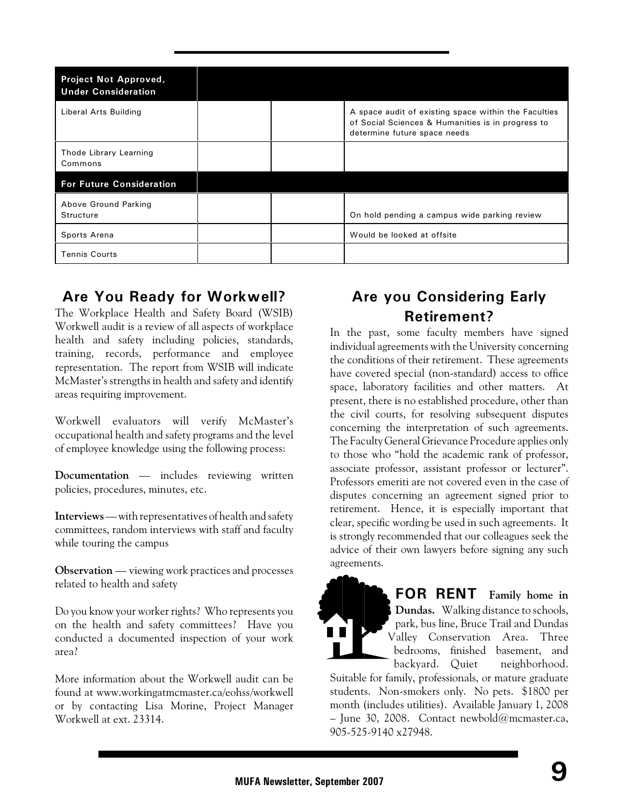| <b>Project Not Approved,</b><br><b>Under Consideration</b> |  |                                                                                                                                           |
|------------------------------------------------------------|--|-------------------------------------------------------------------------------------------------------------------------------------------|
| Liberal Arts Building                                      |  | A space audit of existing space within the Faculties<br>of Social Sciences & Humanities is in progress to<br>determine future space needs |
| Thode Library Learning<br>Commons                          |  |                                                                                                                                           |
| <b>For Future Consideration</b>                            |  |                                                                                                                                           |
| Above Ground Parking<br>Structure                          |  | On hold pending a campus wide parking review                                                                                              |
| Sports Arena                                               |  | Would be looked at offsite                                                                                                                |
| <b>Tennis Courts</b>                                       |  |                                                                                                                                           |

### **Are You Ready for Workwell?**

The Workplace Health and Safety Board (WSIB) Workwell audit is a review of all aspects of workplace health and safety including policies, standards, training, records, performance and employee representation. The report from WSIB will indicate McMaster's strengths in health and safety and identify areas requiring improvement.

Workwell evaluators will verify McMaster's occupational health and safety programs and the level of employee knowledge using the following process:

**Documentation** — includes reviewing written policies, procedures, minutes, etc.

**Interviews** — with representatives of health and safety committees, random interviews with staff and faculty while touring the campus

**Observation** — viewing work practices and processes related to health and safety

Do you know your worker rights? Who represents you on the health and safety committees? Have you conducted a documented inspection of your work area?

More information about the Workwell audit can be found at www.workingatmcmaster.ca/eohss/workwell or by contacting Lisa Morine, Project Manager Workwell at ext. 23314.

### **Are you Considering Early Retirement?**

In the past, some faculty members have signed individual agreements with the University concerning the conditions of their retirement. These agreements have covered special (non-standard) access to office space, laboratory facilities and other matters. At present, there is no established procedure, other than the civil courts, for resolving subsequent disputes concerning the interpretation of such agreements. The Faculty General Grievance Procedure applies only to those who "hold the academic rank of professor, associate professor, assistant professor or lecturer". Professors emeriti are not covered even in the case of disputes concerning an agreement signed prior to retirement. Hence, it is especially important that clear, specific wording be used in such agreements. It is strongly recommended that our colleagues seek the advice of their own lawyers before signing any such agreements.



**FOR RENT Family home in Dundas.** Walking distance to schools, park, bus line, Bruce Trail and Dundas Valley Conservation Area. Three bedrooms, finished basement, and backyard. Quiet neighborhood.

Suitable for family, professionals, or mature graduate students. Non-smokers only. No pets. \$1800 per month (includes utilities). Available January 1, 2008 – June 30, 2008. Contact newbold@mcmaster.ca, 905-525-9140 x27948.